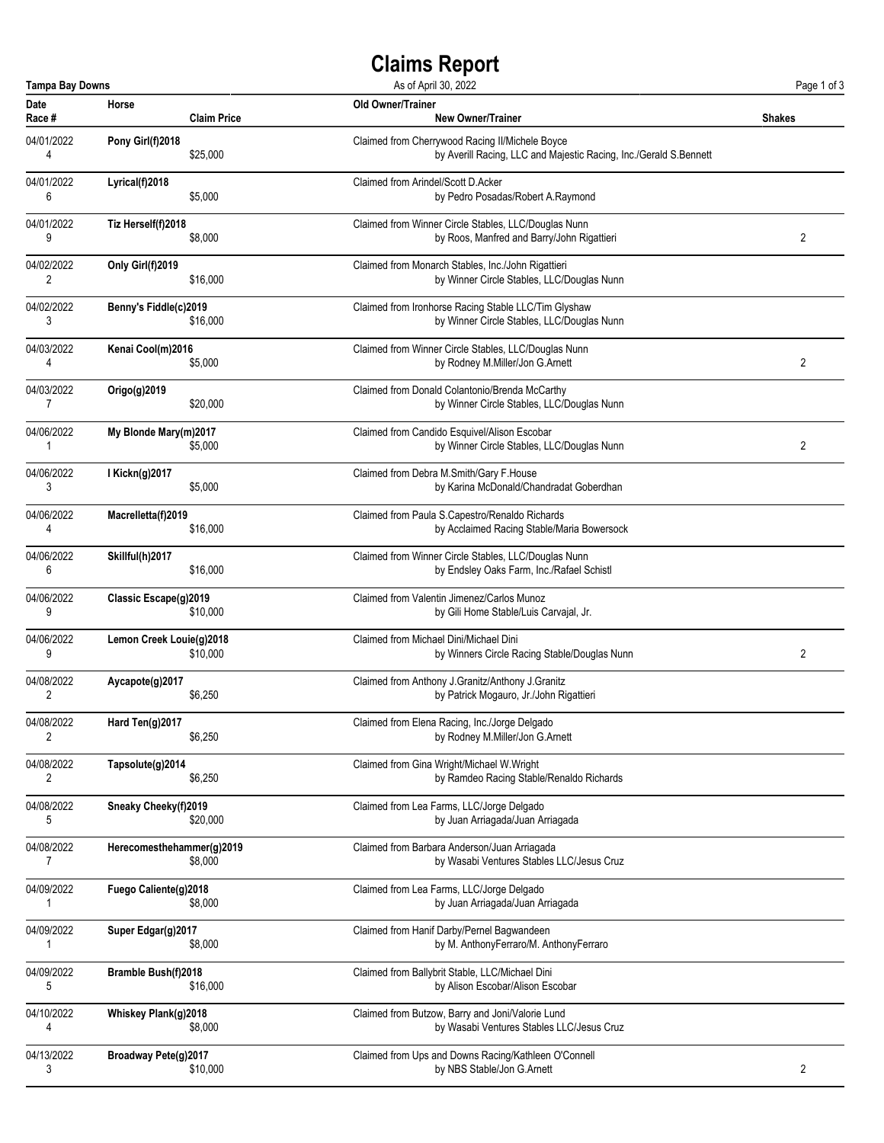## **Claims Report**

|                | <b>Tampa Bay Downs</b><br>As of April 30, 2022 |                                                                   |               |  |
|----------------|------------------------------------------------|-------------------------------------------------------------------|---------------|--|
| Date           | Horse                                          | Old Owner/Trainer                                                 | <b>Shakes</b> |  |
| Race #         | <b>Claim Price</b>                             | <b>New Owner/Trainer</b>                                          |               |  |
| 04/01/2022     | Pony Girl(f)2018                               | Claimed from Cherrywood Racing II/Michele Boyce                   |               |  |
| 4              | \$25,000                                       | by Averill Racing, LLC and Majestic Racing, Inc./Gerald S.Bennett |               |  |
| 04/01/2022     | Lyrical(f)2018                                 | Claimed from Arindel/Scott D.Acker                                |               |  |
| 6              | \$5,000                                        | by Pedro Posadas/Robert A.Raymond                                 |               |  |
| 04/01/2022     | Tiz Herself(f)2018                             | Claimed from Winner Circle Stables, LLC/Douglas Nunn              | 2             |  |
| 9              | \$8,000                                        | by Roos, Manfred and Barry/John Rigattieri                        |               |  |
| 04/02/2022     | Only Girl(f)2019                               | Claimed from Monarch Stables, Inc./John Rigattieri                |               |  |
| 2              | \$16,000                                       | by Winner Circle Stables, LLC/Douglas Nunn                        |               |  |
| 04/02/2022     | Benny's Fiddle(c)2019                          | Claimed from Ironhorse Racing Stable LLC/Tim Glyshaw              |               |  |
| 3              | \$16,000                                       | by Winner Circle Stables, LLC/Douglas Nunn                        |               |  |
| 04/03/2022     | Kenai Cool(m)2016                              | Claimed from Winner Circle Stables, LLC/Douglas Nunn              | 2             |  |
| 4              | \$5,000                                        | by Rodney M.Miller/Jon G.Arnett                                   |               |  |
| 04/03/2022     | $Origo(g)$ 2019                                | Claimed from Donald Colantonio/Brenda McCarthy                    |               |  |
| $\overline{7}$ | \$20,000                                       | by Winner Circle Stables, LLC/Douglas Nunn                        |               |  |
| 04/06/2022     | My Blonde Mary(m)2017                          | Claimed from Candido Esquivel/Alison Escobar                      | 2             |  |
| 1              | \$5,000                                        | by Winner Circle Stables, LLC/Douglas Nunn                        |               |  |
| 04/06/2022     | I Kickn(g)2017                                 | Claimed from Debra M.Smith/Gary F.House                           |               |  |
| 3              | \$5,000                                        | by Karina McDonald/Chandradat Goberdhan                           |               |  |
| 04/06/2022     | Macrelletta(f)2019                             | Claimed from Paula S.Capestro/Renaldo Richards                    |               |  |
| 4              | \$16,000                                       | by Acclaimed Racing Stable/Maria Bowersock                        |               |  |
| 04/06/2022     | Skillful(h)2017                                | Claimed from Winner Circle Stables, LLC/Douglas Nunn              |               |  |
| 6              | \$16,000                                       | by Endsley Oaks Farm, Inc./Rafael Schistl                         |               |  |
| 04/06/2022     | Classic Escape(g)2019                          | Claimed from Valentin Jimenez/Carlos Munoz                        |               |  |
| 9              | \$10,000                                       | by Gili Home Stable/Luis Carvajal, Jr.                            |               |  |
| 04/06/2022     | Lemon Creek Louie(g)2018                       | Claimed from Michael Dini/Michael Dini                            | 2             |  |
| 9              | \$10,000                                       | by Winners Circle Racing Stable/Douglas Nunn                      |               |  |
| 04/08/2022     | Aycapote(g)2017                                | Claimed from Anthony J.Granitz/Anthony J.Granitz                  |               |  |
| 2              | \$6,250                                        | by Patrick Mogauro, Jr./John Rigattieri                           |               |  |
| 04/08/2022     | Hard Ten(g)2017                                | Claimed from Elena Racing, Inc./Jorge Delgado                     |               |  |
| 2              | \$6,250                                        | by Rodney M.Miller/Jon G.Arnett                                   |               |  |
| 04/08/2022     | Tapsolute(g)2014                               | Claimed from Gina Wright/Michael W.Wright                         |               |  |
| 2              | \$6,250                                        | by Ramdeo Racing Stable/Renaldo Richards                          |               |  |
| 04/08/2022     | Sneaky Cheeky(f)2019                           | Claimed from Lea Farms, LLC/Jorge Delgado                         |               |  |
| 5              | \$20,000                                       | by Juan Arriagada/Juan Arriagada                                  |               |  |
| 04/08/2022     | Herecomesthehammer(g)2019                      | Claimed from Barbara Anderson/Juan Arriagada                      |               |  |
| 7              | \$8,000                                        | by Wasabi Ventures Stables LLC/Jesus Cruz                         |               |  |
| 04/09/2022     | Fuego Caliente(g)2018                          | Claimed from Lea Farms, LLC/Jorge Delgado                         |               |  |
| 1              | \$8,000                                        | by Juan Arriagada/Juan Arriagada                                  |               |  |
| 04/09/2022     | Super Edgar(g)2017                             | Claimed from Hanif Darby/Pernel Bagwandeen                        |               |  |
| 1              | \$8,000                                        | by M. AnthonyFerraro/M. AnthonyFerraro                            |               |  |
| 04/09/2022     | <b>Bramble Bush(f)2018</b>                     | Claimed from Ballybrit Stable, LLC/Michael Dini                   |               |  |
| 5              | \$16,000                                       | by Alison Escobar/Alison Escobar                                  |               |  |
| 04/10/2022     | Whiskey Plank(g)2018                           | Claimed from Butzow, Barry and Joni/Valorie Lund                  |               |  |
| 4              | \$8,000                                        | by Wasabi Ventures Stables LLC/Jesus Cruz                         |               |  |
| 04/13/2022     | Broadway Pete(g)2017                           | Claimed from Ups and Downs Racing/Kathleen O'Connell              | 2             |  |
| 3              | \$10,000                                       | by NBS Stable/Jon G.Arnett                                        |               |  |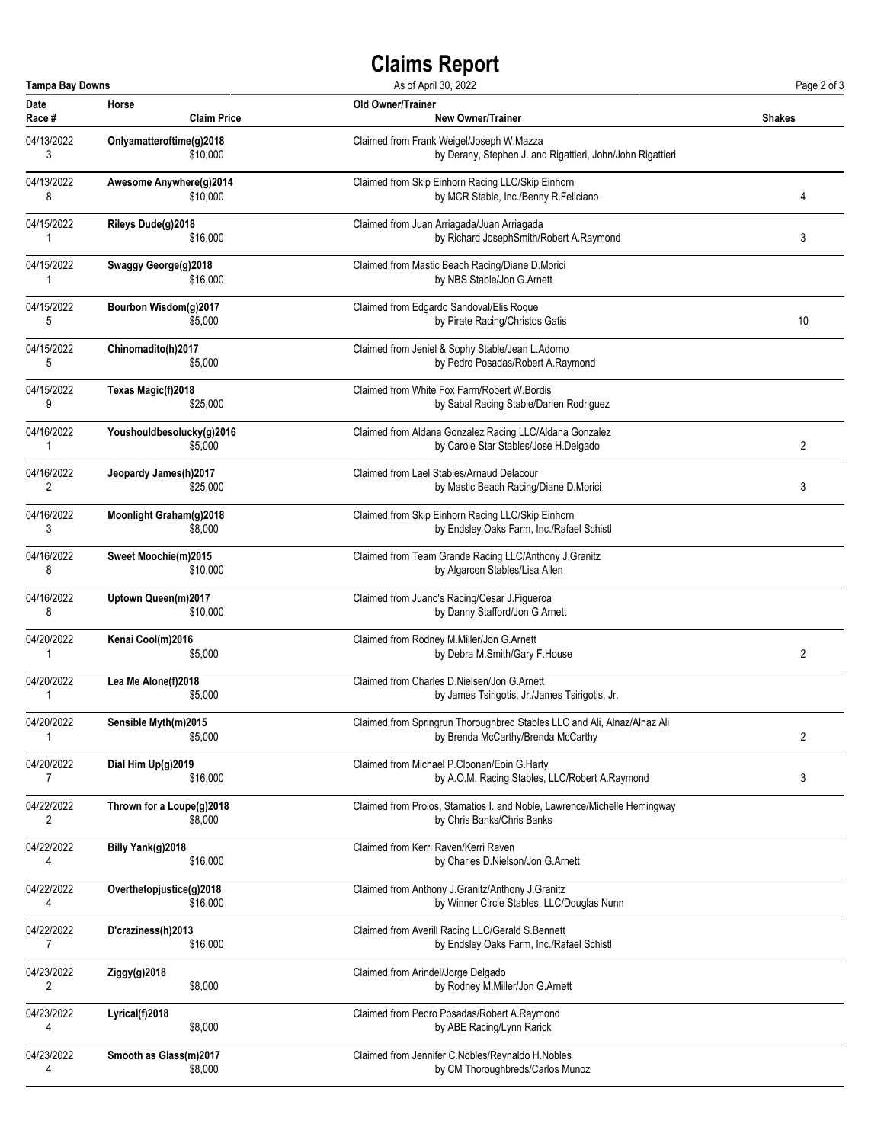## **Claims Report**

| <b>Tampa Bay Downs</b> |                           | As of April 30, 2022                                                     | Page 2 of 3    |
|------------------------|---------------------------|--------------------------------------------------------------------------|----------------|
| <b>Date</b>            | Horse                     | <b>Old Owner/Trainer</b>                                                 | Shakes         |
| Race #                 | <b>Claim Price</b>        | <b>New Owner/Trainer</b>                                                 |                |
| 04/13/2022             | Onlyamatteroftime(g)2018  | Claimed from Frank Weigel/Joseph W.Mazza                                 |                |
| 3                      | \$10,000                  | by Derany, Stephen J. and Rigattieri, John/John Rigattieri               |                |
| 04/13/2022             | Awesome Anywhere(g)2014   | Claimed from Skip Einhorn Racing LLC/Skip Einhorn                        | 4              |
| 8                      | \$10,000                  | by MCR Stable, Inc./Benny R.Feliciano                                    |                |
| 04/15/2022             | Rileys Dude(g)2018        | Claimed from Juan Arriagada/Juan Arriagada                               | 3              |
| 1                      | \$16,000                  | by Richard JosephSmith/Robert A.Raymond                                  |                |
| 04/15/2022             | Swaggy George(g)2018      | Claimed from Mastic Beach Racing/Diane D.Morici                          |                |
| 1                      | \$16,000                  | by NBS Stable/Jon G.Arnett                                               |                |
| 04/15/2022             | Bourbon Wisdom(g)2017     | Claimed from Edgardo Sandoval/Elis Roque                                 | 10             |
| 5                      | \$5,000                   | by Pirate Racing/Christos Gatis                                          |                |
| 04/15/2022             | Chinomadito(h)2017        | Claimed from Jeniel & Sophy Stable/Jean L.Adorno                         |                |
| 5                      | \$5,000                   | by Pedro Posadas/Robert A.Raymond                                        |                |
| 04/15/2022             | Texas Magic(f)2018        | Claimed from White Fox Farm/Robert W. Bordis                             |                |
| 9                      | \$25,000                  | by Sabal Racing Stable/Darien Rodriguez                                  |                |
| 04/16/2022             | Youshouldbesolucky(g)2016 | Claimed from Aldana Gonzalez Racing LLC/Aldana Gonzalez                  | 2              |
| 1                      | \$5,000                   | by Carole Star Stables/Jose H.Delgado                                    |                |
| 04/16/2022             | Jeopardy James(h)2017     | Claimed from Lael Stables/Arnaud Delacour                                | 3              |
| 2                      | \$25,000                  | by Mastic Beach Racing/Diane D.Morici                                    |                |
| 04/16/2022             | Moonlight Graham(g)2018   | Claimed from Skip Einhorn Racing LLC/Skip Einhorn                        |                |
| 3                      | \$8,000                   | by Endsley Oaks Farm, Inc./Rafael Schistl                                |                |
| 04/16/2022             | Sweet Moochie(m)2015      | Claimed from Team Grande Racing LLC/Anthony J.Granitz                    |                |
| 8                      | \$10,000                  | by Algarcon Stables/Lisa Allen                                           |                |
| 04/16/2022             | Uptown Queen(m)2017       | Claimed from Juano's Racing/Cesar J.Figueroa                             |                |
| 8                      | \$10,000                  | by Danny Stafford/Jon G.Arnett                                           |                |
| 04/20/2022             | Kenai Cool(m)2016         | Claimed from Rodney M.Miller/Jon G.Arnett                                | $\overline{2}$ |
| 1                      | \$5,000                   | by Debra M.Smith/Gary F.House                                            |                |
| 04/20/2022             | Lea Me Alone(f)2018       | Claimed from Charles D. Nielsen/Jon G. Arnett                            |                |
| 1                      | \$5,000                   | by James Tsirigotis, Jr./James Tsirigotis, Jr.                           |                |
| 04/20/2022             | Sensible Myth(m)2015      | Claimed from Springrun Thoroughbred Stables LLC and Ali, Alnaz/Alnaz Ali | $\overline{2}$ |
| 1                      | \$5,000                   | by Brenda McCarthy/Brenda McCarthy                                       |                |
| 04/20/2022             | Dial Him Up(g)2019        | Claimed from Michael P.Cloonan/Eoin G.Harty                              | 3              |
| 7                      | \$16,000                  | by A.O.M. Racing Stables, LLC/Robert A.Raymond                           |                |
| 04/22/2022             | Thrown for a Loupe(g)2018 | Claimed from Proios, Stamatios I. and Noble, Lawrence/Michelle Hemingway |                |
| 2                      | \$8,000                   | by Chris Banks/Chris Banks                                               |                |
| 04/22/2022             | Billy Yank(g)2018         | Claimed from Kerri Raven/Kerri Raven                                     |                |
| 4                      | \$16,000                  | by Charles D.Nielson/Jon G.Arnett                                        |                |
| 04/22/2022             | Overthetopjustice(g)2018  | Claimed from Anthony J.Granitz/Anthony J.Granitz                         |                |
| 4                      | \$16,000                  | by Winner Circle Stables, LLC/Douglas Nunn                               |                |
| 04/22/2022             | D'craziness(h)2013        | Claimed from Averill Racing LLC/Gerald S.Bennett                         |                |
| 7                      | \$16,000                  | by Endsley Oaks Farm, Inc./Rafael Schistl                                |                |
| 04/23/2022             | Ziggy(g)2018              | Claimed from Arindel/Jorge Delgado                                       |                |
| 2                      | \$8,000                   | by Rodney M.Miller/Jon G.Arnett                                          |                |
| 04/23/2022             | Lyrical(f)2018            | Claimed from Pedro Posadas/Robert A.Raymond                              |                |
| 4                      | \$8,000                   | by ABE Racing/Lynn Rarick                                                |                |
| 04/23/2022             | Smooth as Glass(m)2017    | Claimed from Jennifer C.Nobles/Reynaldo H.Nobles                         |                |
| 4                      | \$8,000                   | by CM Thoroughbreds/Carlos Munoz                                         |                |